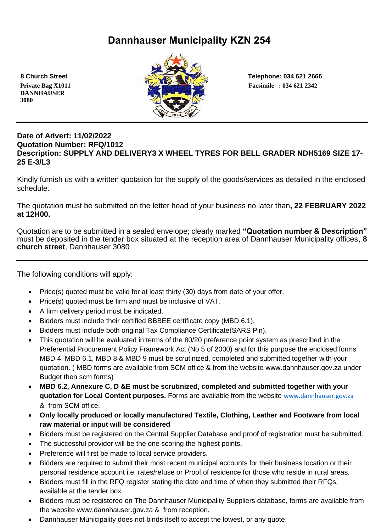# **Dannhauser Municipality KZN 254**

 **DANNHAUSER 3080** 



 **8 Church Street Telephone: 034 621 2666**

## **Date of Advert: 11/02/2022 Quotation Number: RFQ/1012 Description: SUPPLY AND DELIVERY3 X WHEEL TYRES FOR BELL GRADER NDH5169 SIZE 17- 25 E-3/L3**

Kindly furnish us with a written quotation for the supply of the goods/services as detailed in the enclosed schedule.

The quotation must be submitted on the letter head of your business no later than**, 22 FEBRUARY 2022 at 12H00.**

Quotation are to be submitted in a sealed envelope; clearly marked **"Quotation number & Description"** must be deposited in the tender box situated at the reception area of Dannhauser Municipality offices, **8 church street**, Dannhauser 3080

The following conditions will apply:

- Price(s) quoted must be valid for at least thirty (30) days from date of your offer.
- Price(s) quoted must be firm and must be inclusive of VAT.
- A firm delivery period must be indicated.
- Bidders must include their certified BBBEE certificate copy (MBD 6.1).
- Bidders must include both original Tax Compliance Certificate(SARS Pin).
- This quotation will be evaluated in terms of the 80/20 preference point system as prescribed in the Preferential Procurement Policy Framework Act (No 5 of 2000) and for this purpose the enclosed forms MBD 4, MBD 6.1, MBD 8 & MBD 9 must be scrutinized, completed and submitted together with your quotation. ( MBD forms are available from SCM office & from the website www.dannhauser.gov.za under Budget then scm forms)
- **MBD 6.2, Annexure C, D &E must be scrutinized, completed and submitted together with your quotation for Local Content purposes.** Forms are available from the website [www.dannhauser.gov.za](http://www.dannhauser.gov.za/) & from SCM office.
- **Only locally produced or locally manufactured Textile, Clothing, Leather and Footware from local raw material or input will be considered**
- Bidders must be registered on the Central Supplier Database and proof of registration must be submitted.
- The successful provider will be the one scoring the highest points.
- Preference will first be made to local service providers.
- Bidders are required to submit their most recent municipal accounts for their business location or their personal residence account i.e. rates/refuse or Proof of residence for those who reside in rural areas.
- Bidders must fill in the RFQ register stating the date and time of when they submitted their RFQs, available at the tender box.
- Bidders must be registered on The Dannhauser Municipality Suppliers database, forms are available from the website www.dannhauser.gov.za & from reception.
- Dannhauser Municipality does not binds itself to accept the lowest, or any quote.